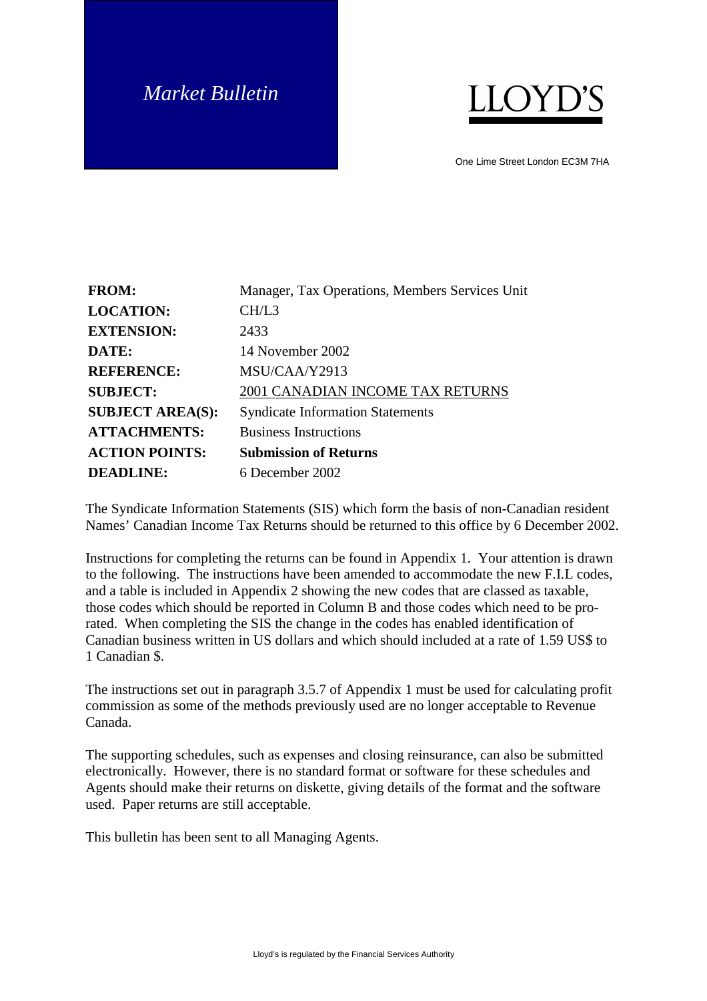# *Market Bulletin*



One Lime Street London EC3M 7HA

| <b>FROM:</b>            | Manager, Tax Operations, Members Services Unit |
|-------------------------|------------------------------------------------|
| <b>LOCATION:</b>        | CH/L3                                          |
| <b>EXTENSION:</b>       | 2433                                           |
| DATE:                   | 14 November 2002                               |
| <b>REFERENCE:</b>       | MSU/CAA/Y2913                                  |
| <b>SUBJECT:</b>         | 2001 CANADIAN INCOME TAX RETURNS               |
| <b>SUBJECT AREA(S):</b> | <b>Syndicate Information Statements</b>        |
| <b>ATTACHMENTS:</b>     | <b>Business Instructions</b>                   |
| <b>ACTION POINTS:</b>   | <b>Submission of Returns</b>                   |
| <b>DEADLINE:</b>        | 6 December 2002                                |

The Syndicate Information Statements (SIS) which form the basis of non-Canadian resident Names' Canadian Income Tax Returns should be returned to this office by 6 December 2002.

Instructions for completing the returns can be found in Appendix 1. Your attention is drawn to the following. The instructions have been amended to accommodate the new F.I.L codes, and a table is included in Appendix 2 showing the new codes that are classed as taxable, those codes which should be reported in Column B and those codes which need to be prorated. When completing the SIS the change in the codes has enabled identification of Canadian business written in US dollars and which should included at a rate of 1.59 US\$ to 1 Canadian \$.

The instructions set out in paragraph 3.5.7 of Appendix 1 must be used for calculating profit commission as some of the methods previously used are no longer acceptable to Revenue Canada.

The supporting schedules, such as expenses and closing reinsurance, can also be submitted electronically. However, there is no standard format or software for these schedules and Agents should make their returns on diskette, giving details of the format and the software used. Paper returns are still acceptable.

This bulletin has been sent to all Managing Agents.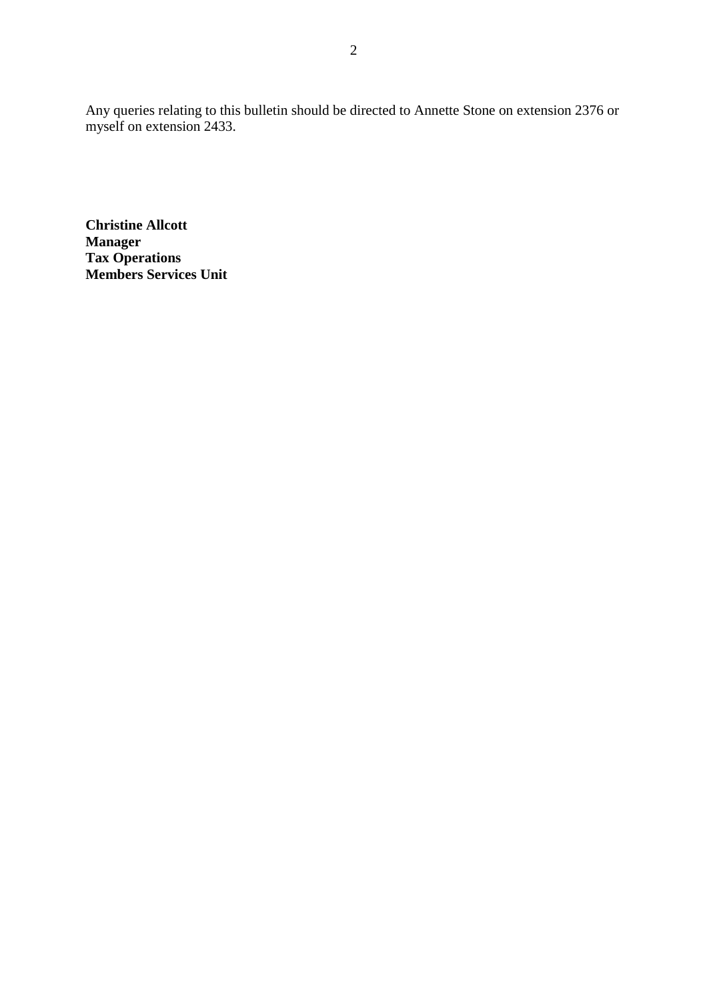Any queries relating to this bulletin should be directed to Annette Stone on extension 2376 or myself on extension 2433.

**Christine Allcott Manager Tax Operations Members Services Unit**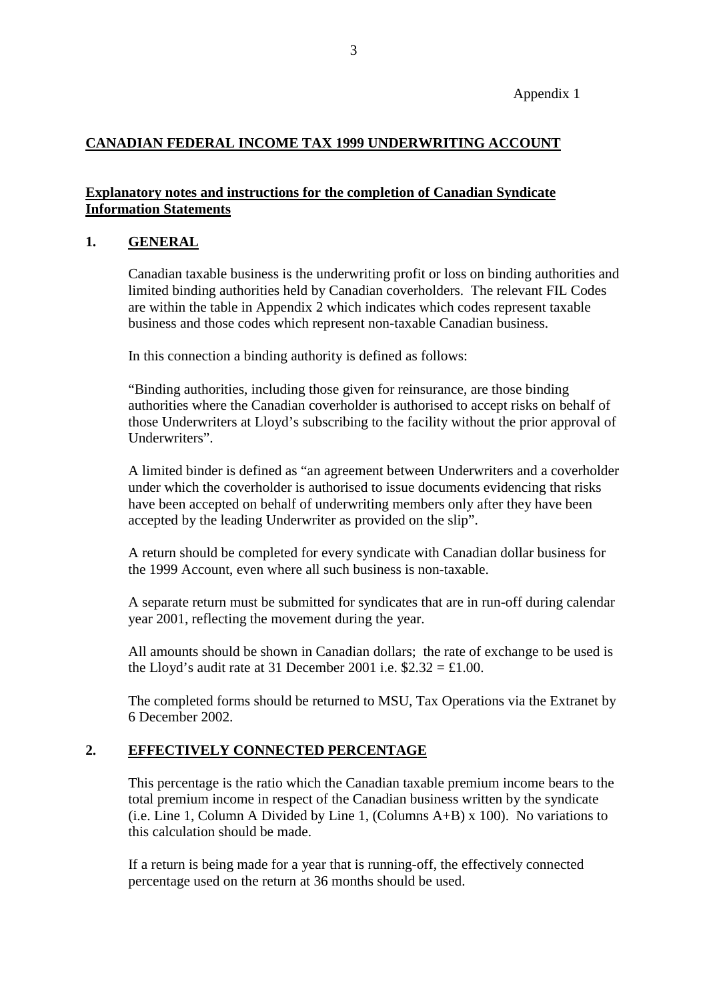## Appendix 1

# **CANADIAN FEDERAL INCOME TAX 1999 UNDERWRITING ACCOUNT**

# **Explanatory notes and instructions for the completion of Canadian Syndicate Information Statements**

## **1. GENERAL**

Canadian taxable business is the underwriting profit or loss on binding authorities and limited binding authorities held by Canadian coverholders. The relevant FIL Codes are within the table in Appendix 2 which indicates which codes represent taxable business and those codes which represent non-taxable Canadian business.

In this connection a binding authority is defined as follows:

"Binding authorities, including those given for reinsurance, are those binding authorities where the Canadian coverholder is authorised to accept risks on behalf of those Underwriters at Lloyd's subscribing to the facility without the prior approval of Underwriters".

A limited binder is defined as "an agreement between Underwriters and a coverholder under which the coverholder is authorised to issue documents evidencing that risks have been accepted on behalf of underwriting members only after they have been accepted by the leading Underwriter as provided on the slip".

A return should be completed for every syndicate with Canadian dollar business for the 1999 Account, even where all such business is non-taxable.

A separate return must be submitted for syndicates that are in run-off during calendar year 2001, reflecting the movement during the year.

All amounts should be shown in Canadian dollars; the rate of exchange to be used is the Lloyd's audit rate at 31 December 2001 i.e.  $2.32 = £1.00$ .

The completed forms should be returned to MSU, Tax Operations via the Extranet by 6 December 2002.

# **2. EFFECTIVELY CONNECTED PERCENTAGE**

This percentage is the ratio which the Canadian taxable premium income bears to the total premium income in respect of the Canadian business written by the syndicate (i.e. Line 1, Column A Divided by Line 1, (Columns A+B) x 100). No variations to this calculation should be made.

If a return is being made for a year that is running-off, the effectively connected percentage used on the return at 36 months should be used.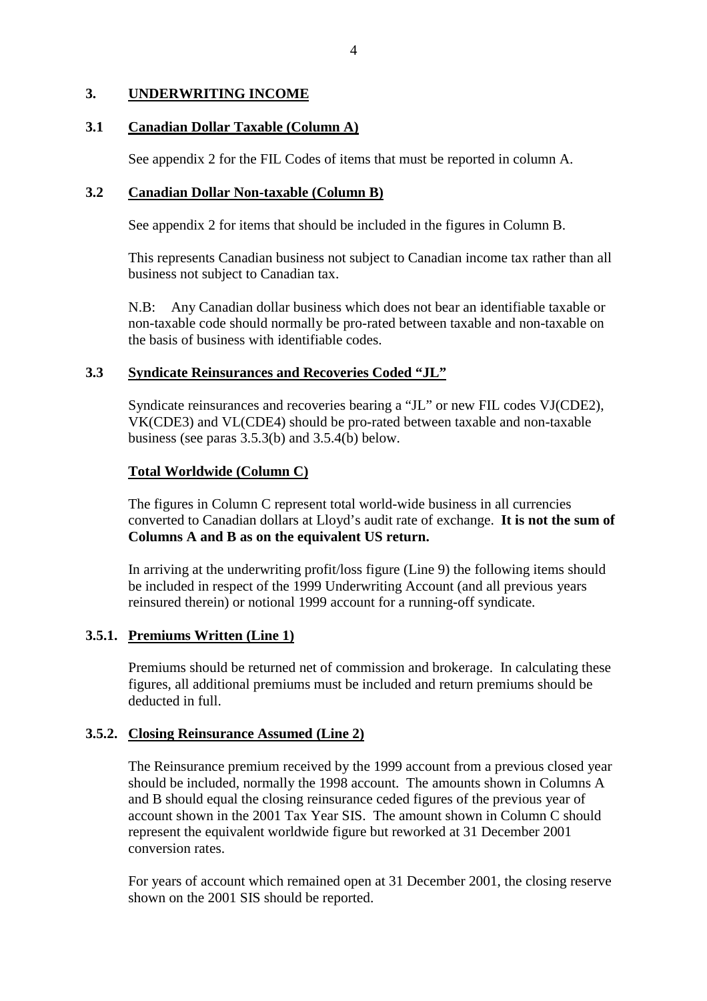## **3. UNDERWRITING INCOME**

#### **3.1 Canadian Dollar Taxable (Column A)**

See appendix 2 for the FIL Codes of items that must be reported in column A.

#### **3.2 Canadian Dollar Non-taxable (Column B)**

See appendix 2 for items that should be included in the figures in Column B.

This represents Canadian business not subject to Canadian income tax rather than all business not subject to Canadian tax.

N.B: Any Canadian dollar business which does not bear an identifiable taxable or non-taxable code should normally be pro-rated between taxable and non-taxable on the basis of business with identifiable codes.

## **3.3 Syndicate Reinsurances and Recoveries Coded "JL"**

Syndicate reinsurances and recoveries bearing a "JL" or new FIL codes VJ(CDE2), VK(CDE3) and VL(CDE4) should be pro-rated between taxable and non-taxable business (see paras 3.5.3(b) and 3.5.4(b) below.

## **Total Worldwide (Column C)**

The figures in Column C represent total world-wide business in all currencies converted to Canadian dollars at Lloyd's audit rate of exchange. **It is not the sum of Columns A and B as on the equivalent US return.**

In arriving at the underwriting profit/loss figure (Line 9) the following items should be included in respect of the 1999 Underwriting Account (and all previous years reinsured therein) or notional 1999 account for a running-off syndicate.

# **3.5.1. Premiums Written (Line 1)**

Premiums should be returned net of commission and brokerage. In calculating these figures, all additional premiums must be included and return premiums should be deducted in full.

# **3.5.2. Closing Reinsurance Assumed (Line 2)**

The Reinsurance premium received by the 1999 account from a previous closed year should be included, normally the 1998 account. The amounts shown in Columns A and B should equal the closing reinsurance ceded figures of the previous year of account shown in the 2001 Tax Year SIS. The amount shown in Column C should represent the equivalent worldwide figure but reworked at 31 December 2001 conversion rates.

For years of account which remained open at 31 December 2001, the closing reserve shown on the 2001 SIS should be reported.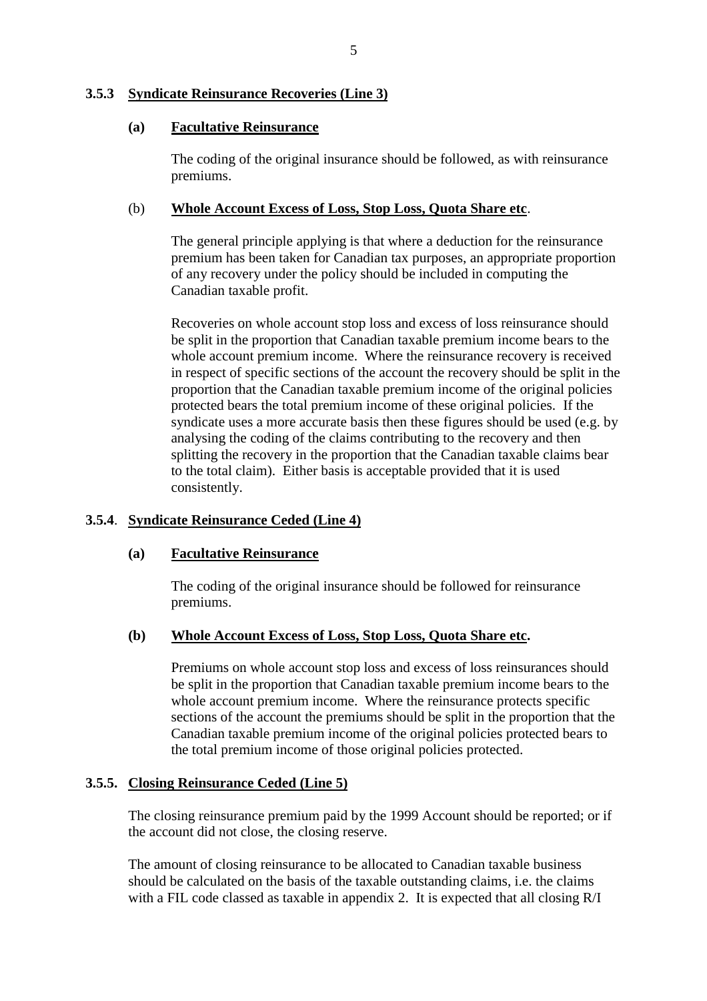#### **3.5.3 Syndicate Reinsurance Recoveries (Line 3)**

#### **(a) Facultative Reinsurance**

The coding of the original insurance should be followed, as with reinsurance premiums.

#### (b) **Whole Account Excess of Loss, Stop Loss, Quota Share etc**.

The general principle applying is that where a deduction for the reinsurance premium has been taken for Canadian tax purposes, an appropriate proportion of any recovery under the policy should be included in computing the Canadian taxable profit.

Recoveries on whole account stop loss and excess of loss reinsurance should be split in the proportion that Canadian taxable premium income bears to the whole account premium income. Where the reinsurance recovery is received in respect of specific sections of the account the recovery should be split in the proportion that the Canadian taxable premium income of the original policies protected bears the total premium income of these original policies. If the syndicate uses a more accurate basis then these figures should be used (e.g. by analysing the coding of the claims contributing to the recovery and then splitting the recovery in the proportion that the Canadian taxable claims bear to the total claim). Either basis is acceptable provided that it is used consistently.

#### **3.5.4**. **Syndicate Reinsurance Ceded (Line 4)**

#### **(a) Facultative Reinsurance**

The coding of the original insurance should be followed for reinsurance premiums.

#### **(b) Whole Account Excess of Loss, Stop Loss, Quota Share etc.**

Premiums on whole account stop loss and excess of loss reinsurances should be split in the proportion that Canadian taxable premium income bears to the whole account premium income. Where the reinsurance protects specific sections of the account the premiums should be split in the proportion that the Canadian taxable premium income of the original policies protected bears to the total premium income of those original policies protected.

#### **3.5.5. Closing Reinsurance Ceded (Line 5)**

The closing reinsurance premium paid by the 1999 Account should be reported; or if the account did not close, the closing reserve.

The amount of closing reinsurance to be allocated to Canadian taxable business should be calculated on the basis of the taxable outstanding claims, i.e. the claims with a FIL code classed as taxable in appendix 2. It is expected that all closing R/I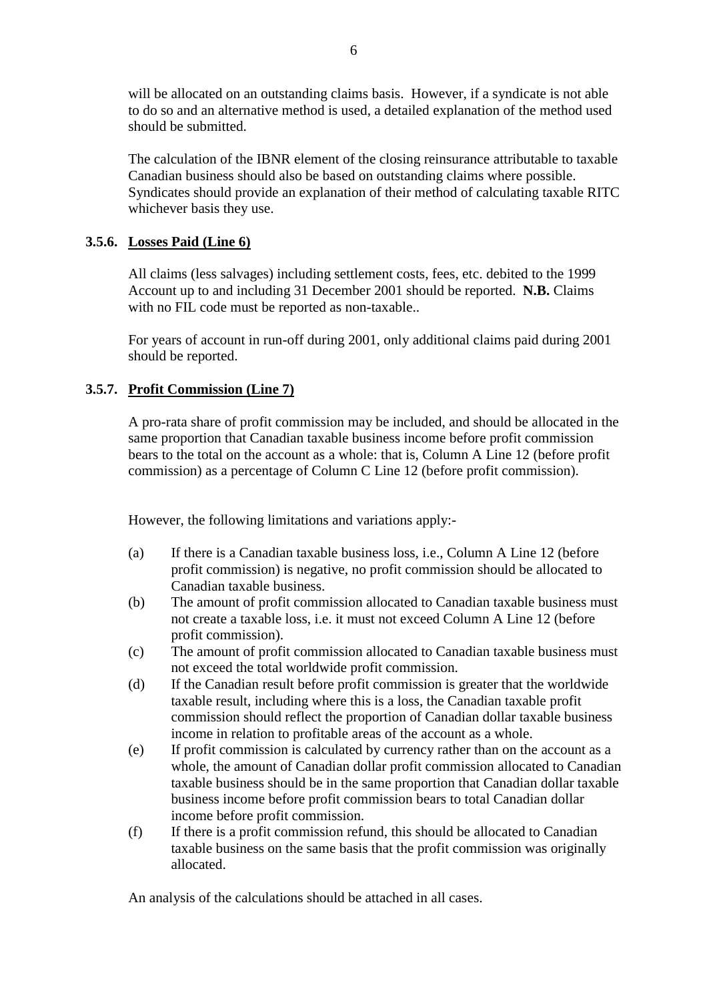will be allocated on an outstanding claims basis. However, if a syndicate is not able to do so and an alternative method is used, a detailed explanation of the method used should be submitted.

The calculation of the IBNR element of the closing reinsurance attributable to taxable Canadian business should also be based on outstanding claims where possible. Syndicates should provide an explanation of their method of calculating taxable RITC whichever basis they use.

## **3.5.6. Losses Paid (Line 6)**

All claims (less salvages) including settlement costs, fees, etc. debited to the 1999 Account up to and including 31 December 2001 should be reported. **N.B.** Claims with no FIL code must be reported as non-taxable..

For years of account in run-off during 2001, only additional claims paid during 2001 should be reported.

## **3.5.7. Profit Commission (Line 7)**

A pro-rata share of profit commission may be included, and should be allocated in the same proportion that Canadian taxable business income before profit commission bears to the total on the account as a whole: that is, Column A Line 12 (before profit commission) as a percentage of Column C Line 12 (before profit commission).

However, the following limitations and variations apply:-

- (a) If there is a Canadian taxable business loss, i.e., Column A Line 12 (before profit commission) is negative, no profit commission should be allocated to Canadian taxable business.
- (b) The amount of profit commission allocated to Canadian taxable business must not create a taxable loss, i.e. it must not exceed Column A Line 12 (before profit commission).
- (c) The amount of profit commission allocated to Canadian taxable business must not exceed the total worldwide profit commission.
- (d) If the Canadian result before profit commission is greater that the worldwide taxable result, including where this is a loss, the Canadian taxable profit commission should reflect the proportion of Canadian dollar taxable business income in relation to profitable areas of the account as a whole.
- (e) If profit commission is calculated by currency rather than on the account as a whole, the amount of Canadian dollar profit commission allocated to Canadian taxable business should be in the same proportion that Canadian dollar taxable business income before profit commission bears to total Canadian dollar income before profit commission.
- (f) If there is a profit commission refund, this should be allocated to Canadian taxable business on the same basis that the profit commission was originally allocated.

An analysis of the calculations should be attached in all cases.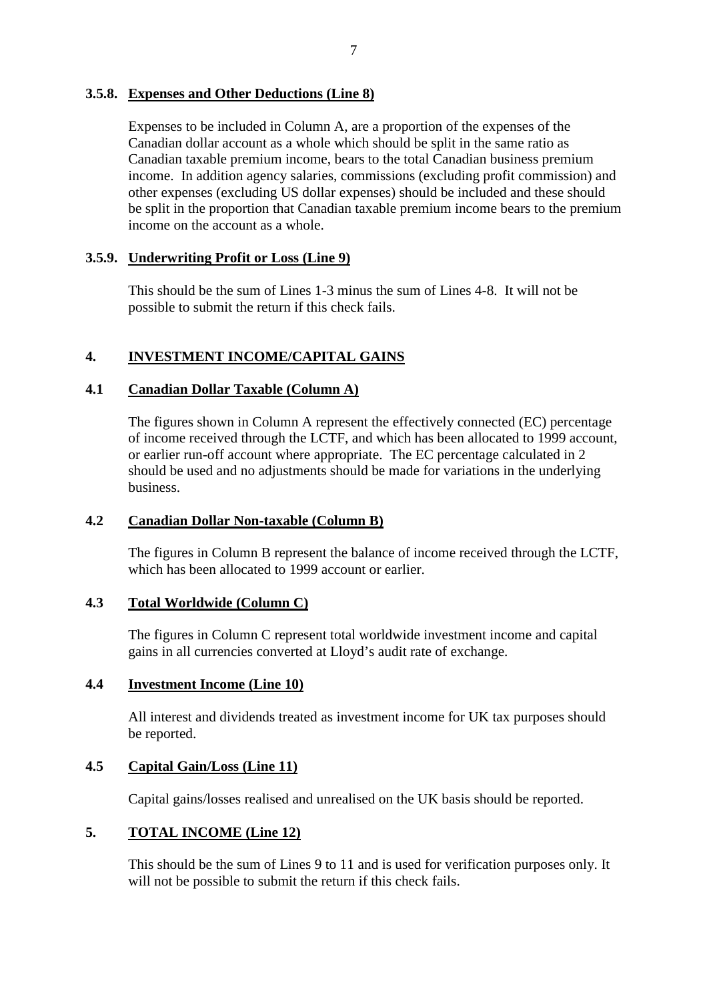## **3.5.8. Expenses and Other Deductions (Line 8)**

Expenses to be included in Column A, are a proportion of the expenses of the Canadian dollar account as a whole which should be split in the same ratio as Canadian taxable premium income, bears to the total Canadian business premium income. In addition agency salaries, commissions (excluding profit commission) and other expenses (excluding US dollar expenses) should be included and these should be split in the proportion that Canadian taxable premium income bears to the premium income on the account as a whole.

# **3.5.9. Underwriting Profit or Loss (Line 9)**

This should be the sum of Lines 1-3 minus the sum of Lines 4-8. It will not be possible to submit the return if this check fails.

# **4. INVESTMENT INCOME/CAPITAL GAINS**

## **4.1 Canadian Dollar Taxable (Column A)**

The figures shown in Column A represent the effectively connected (EC) percentage of income received through the LCTF, and which has been allocated to 1999 account, or earlier run-off account where appropriate. The EC percentage calculated in 2 should be used and no adjustments should be made for variations in the underlying business.

#### **4.2 Canadian Dollar Non-taxable (Column B)**

The figures in Column B represent the balance of income received through the LCTF, which has been allocated to 1999 account or earlier.

#### **4.3 Total Worldwide (Column C)**

The figures in Column C represent total worldwide investment income and capital gains in all currencies converted at Lloyd's audit rate of exchange.

# **4.4 Investment Income (Line 10)**

All interest and dividends treated as investment income for UK tax purposes should be reported.

# **4.5 Capital Gain/Loss (Line 11)**

Capital gains/losses realised and unrealised on the UK basis should be reported.

#### **5. TOTAL INCOME (Line 12)**

This should be the sum of Lines 9 to 11 and is used for verification purposes only. It will not be possible to submit the return if this check fails.